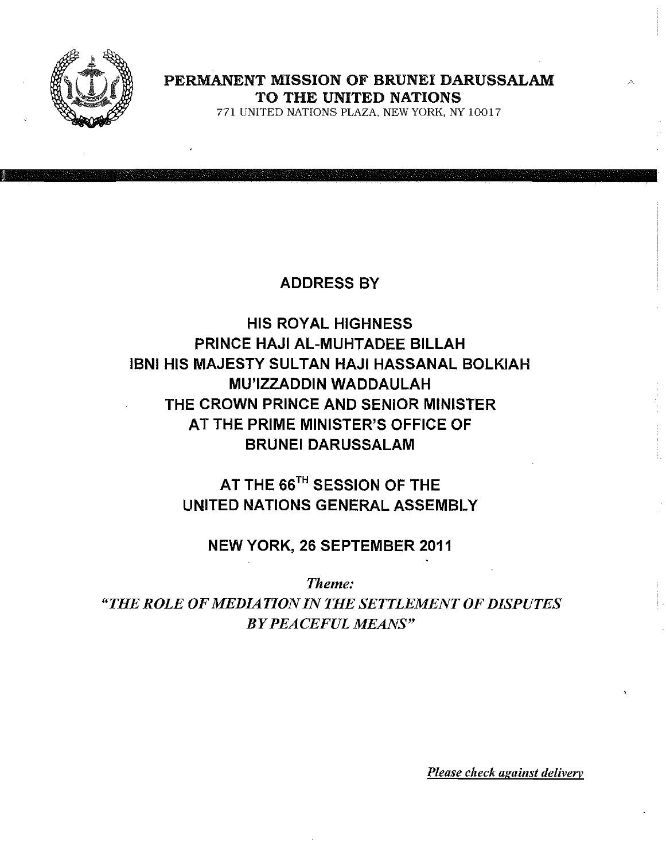

PERMANENT MISSION OF BRUNEI DARUSSALAM TO THE UNITED NATIONS

771 UNlTED NATIONS PLAZA, NEW YORK, NY 10017

### **ADDRESS BY**

## **HIS ROYAL HIGHNESS PRINCE HAJI AL-MUHTADEE BILLAH IBNI HIS MAJESTY SULTAN HAJI HASSANAL BOLKIAH MU'IZZADDIN WADDAULAH THE CROWN PRINCE AND SENIOR MINISTER AT THE PRIME MINISTER'S OFFICE OF** BRUNEI DARUSSALAM

# **AT THE** 66TH **SESSION OF THE UNITED NATIONS GENERAL ASSEMBLY**

## **NEW** YORK, **26 SEPTEMBER 2011**

*Theme: "THE ROLE OFMEDIATIONIN THE SETTLEMENT OF DISPUTES BYPEACEFUL MEANS"*

*Please check against delivery*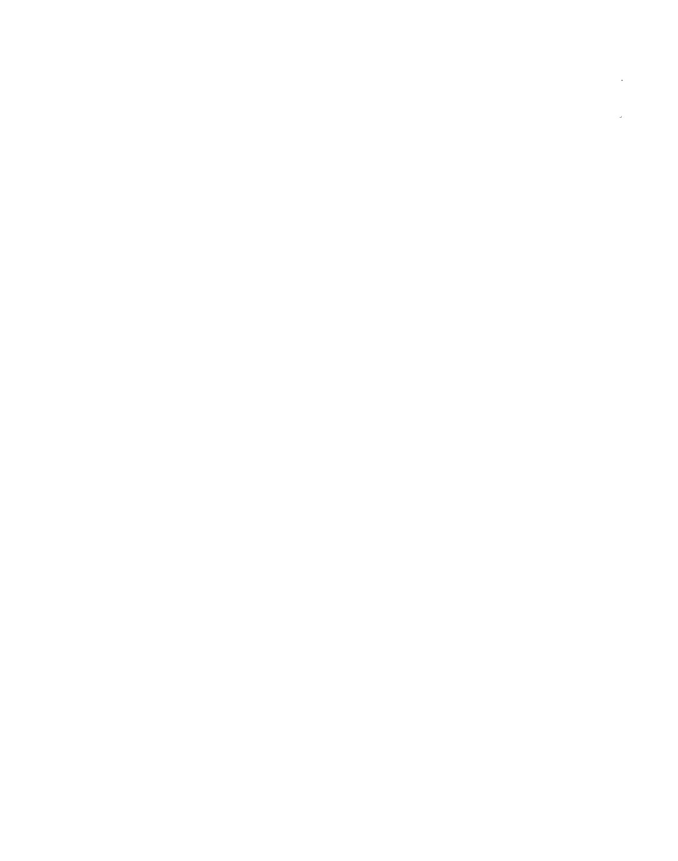$\mathcal{L}^{\text{max}}_{\text{max}}$  , where  $\mathcal{L}^{\text{max}}_{\text{max}}$  $\label{eq:2.1} \mathcal{L}(\mathcal{L}) = \mathcal{L}(\mathcal{L}) \mathcal{L}(\mathcal{L})$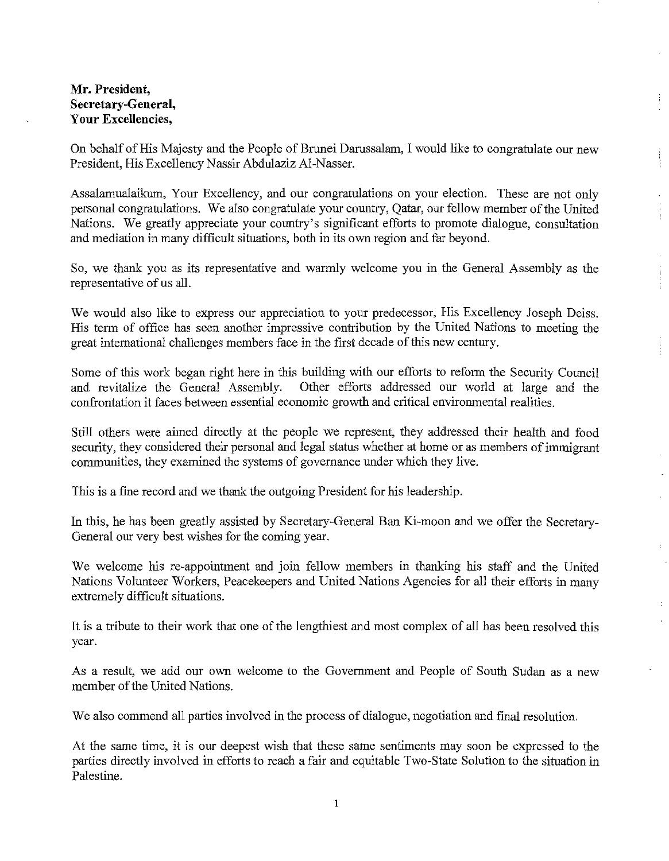### **Mr. President, Secretary-General, Your Excellencies,**

**On** behalf of His Majesty **and** the People of Brunei Darussalam, I would like to congratulate our new President, His Excellency Nassir Abdulaziz Al-Nasser.

ţ

Assalamualaikum, Your Excellency, and our congratulations on your election. These are not only personal congratulations. We also congratulate your country, Qatar, our fellow member ofthe United Nations. We greatly appreciate your country's significant efforts to promote dialogue, consultation and mediation in many difficult situations, both in its own region and far beyond.

So, we thank you as its representative and warmly welcome you in the General Assembly as the representative of us all.

We would also like to express our appreciation to your predecessor, His Excellency Joseph Deiss. His term of office has seen another impressive contribution by the United Nations to meeting the great international challenges members face in the first decade of this new century.

Some of this work began right here in this building with our efforts to reform the Security Council and revitalize the General Assembly. Other efforts addressed our world at large and the confrontation it faces between essential economic growth and critical environmental realities.

Still others were aimed directly at the people we represent, they addressed their health and food security, they considered their personal and legal status whether at home or as members of immigrant communities, they examined the systems of governance under which they live.

This is a fine record and we thank the outgoing President for his leadership.

In this, he has been greatly assisted by Secretary-General Ban Ki-moon and we offer the Secretary-General our very best wishes for the coming year.

We welcome his re-appointment and join fellow members in thanking his staff and the United Nations Volunteer Workers, Peacekeepers and United Nations Agencies for all their efforts in many extremely difficult situations.

It is a tribute to their work that one of the lengthiest and most complex of all has been resolved this year.

As a result, we add our own welcome to the Government and People of South Sudan as a new member of the United Nations.

We also commend all parties involved in the process of dialogue, negotiation and final resolution.

At the same time, it is our deepest wish that these same sentiments may soon be expressed to the parties directly involved in efforts to reach a fair and equitable Two-State Solution to the situation in Palestine.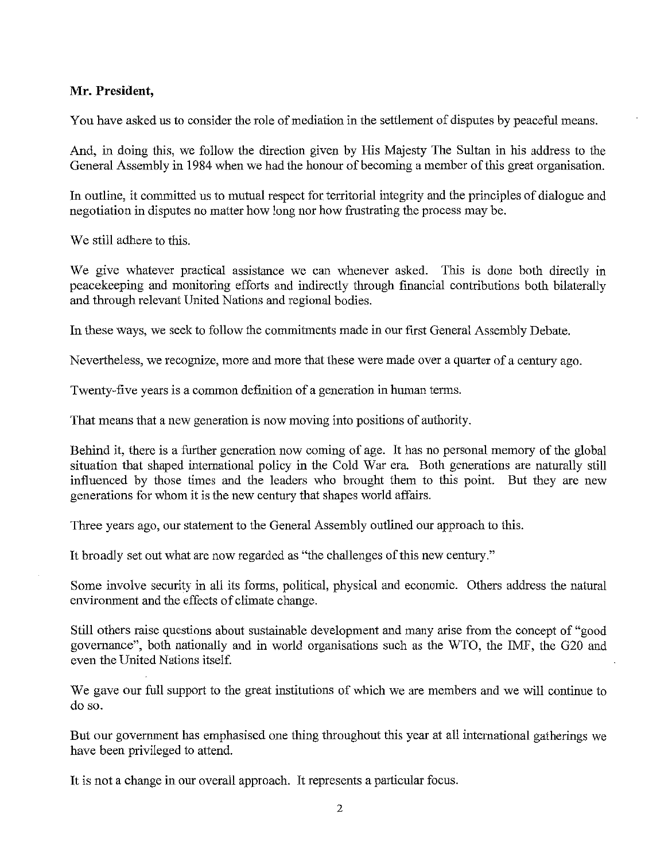### **Mr. President,**

You have asked us to consider the role of mediation in the settlement of disputes by peaceful means.

And, in doing this, we follow the direction given by His Majesty The Sultan in his address **to** the General Assembly in 1984 when we had the honour of becoming a member of this great organisation.

In outline, it committed us to mutual respect for territorial integrity and the principles of dialogue and negotiation in disputes no matter how long nor how frustrating the process may be.

We still adhere to this.

We give whatever practical assistance we can whenever asked. This is done both directly in peacekeeping and monitoring efforts and indirectly through financial contributions both bilaterally and through relevant United Nations and regional bodies.

In these ways, we seek to follow the commitments made in our first General Assembly Debate.

Nevertheless, we recognize, more and more that these were made over a quarter of a century ago.

Twenty-five years is a common definition of a generation in human terms.

That means that a new generation is now moving into positions of authority.

Behind it, there is a further generation now coming of age. It has no personal memory of the global situation that shaped international policy in the Cold War era. Both generations are naturally still influenced by those times and the leaders who brought them to this point. But they are new generations for whom it is the new century that shapes world affairs.

Three years ago, our statement to the General Assembly outlined our approach to this.

It broadly set out what are now regarded as "the challenges of this new century."

Some involve security in all its forms, political, physical and economic. Others address the natural environment and the effects of climate change.

Still others raise questions about sustainable development and many arise from the concept of "good governance", both nationally and in world organisations such as the WTO, the IMF, the G20 and even the United Nations itself.

We gave our full support to the great institutions of which we are members and we will continue to do so.

But our government has emphasised one thing throughout this year at all international gatherings we have been privileged to attend.

It is not a change in our overall approach. It represents a particular focus.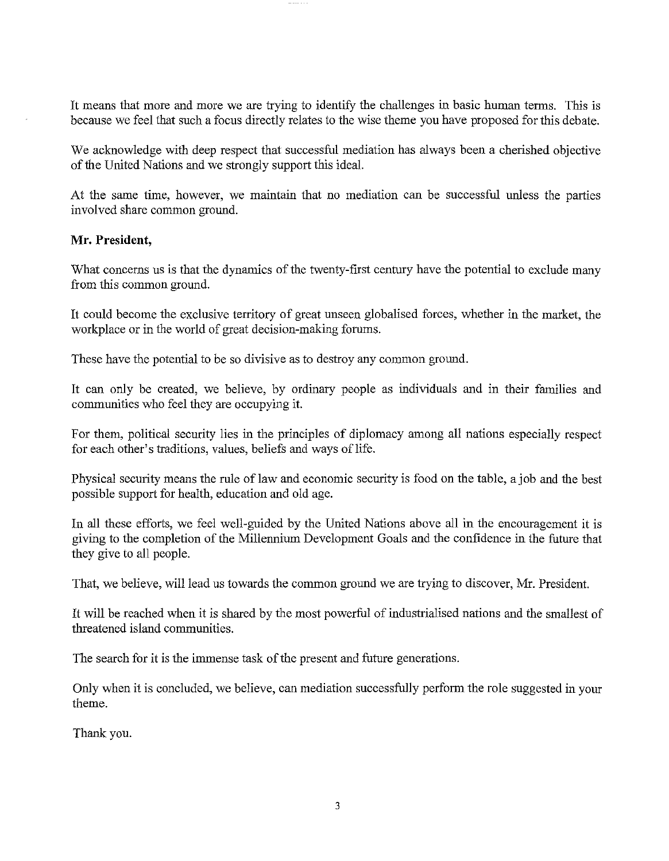It means that more and more we are trying to identify the challenges in basic human terms. This is because we feel that such a focus directly relates to the wise theme you have proposed for this debate.

We acknowledge with deep respect that successful mediation has always been a cherished objective of the United Nations and we strongly support this ideal.

At the same time, however, we maintain that no mediation can be successful unless the parties involved share common ground.

### **Mr. President,**

What concerns us is that the dynamics of the twenty-first century have the potential to exclude many from this common ground.

It could become the exclusive territory of great unseen globalised forces, whether in the market, the workplace or in the world of great decision-making forums.

These have the potential to be so divisive as to destroy any common ground.

It can only be created, we believe, by ordinary people as individuals and in their families and communities who feel they are occupying it.

For them, political security lies in the principles of diplomacy among all nations especially respect for each other's traditions, values, beliefs and ways of life.

Physical security means the rule of law and economic security is food on the table, a job and the best possible support for health, education and old age.

In all these efforts, we feel well-guided by the United Nations above all in the encouragement it is giving to the completion of the Millennium Development Goals and the confidence in the future that they give to all people.

That, we believe, will lead us towards the common ground we are trying to discover, Mr. President.

It will be reached when it is shared by the most powerful of industrialised nations and the smallest of threatened island communities.

The search for it is the immense task of the present and future generations.

Only when it is concluded, we believe, can mediation successfully perform the role suggested in your theme.

Thank you.